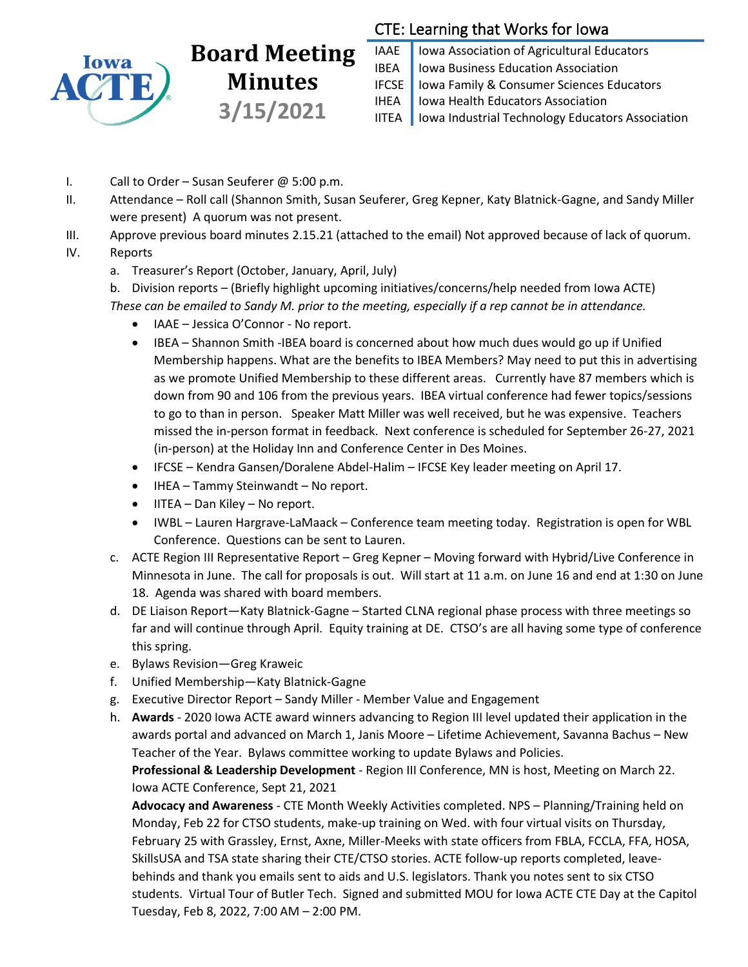

## **Board Meeting Minutes 3/15/2021**

## CTE: Learning that Works for Iowa

IAAE | Iowa Association of Agricultural Educators **IBEA** | Iowa Business Education Association IFCSE Iowa Family & Consumer Sciences Educators IHEA | Iowa Health Educators Association IITEA | Iowa Industrial Technology Educators Association

- I. Call to Order Susan Seuferer @ 5:00 p.m.
- II. Attendance Roll call (Shannon Smith, Susan Seuferer, Greg Kepner, Katy Blatnick-Gagne, and Sandy Miller were present) A quorum was not present.
- III. Approve previous board minutes 2.15.21 (attached to the email) Not approved because of lack of quorum.
- IV. Reports
	- a. Treasurer's Report (October, January, April, July)
	- b. Division reports (Briefly highlight upcoming initiatives/concerns/help needed from Iowa ACTE) *These can be emailed to Sandy M. prior to the meeting, especially if a rep cannot be in attendance.*
		- IAAE Jessica O'Connor No report.
		- IBEA Shannon Smith -IBEA board is concerned about how much dues would go up if Unified Membership happens. What are the benefits to IBEA Members? May need to put this in advertising as we promote Unified Membership to these different areas. Currently have 87 members which is down from 90 and 106 from the previous years. IBEA virtual conference had fewer topics/sessions to go to than in person. Speaker Matt Miller was well received, but he was expensive. Teachers missed the in-person format in feedback. Next conference is scheduled for September 26-27, 2021 (in-person) at the Holiday Inn and Conference Center in Des Moines.
		- IFCSE Kendra Gansen/Doralene Abdel-Halim IFCSE Key leader meeting on April 17.
		- IHEA Tammy Steinwandt No report.
		- IITEA Dan Kiley No report.
		- IWBL Lauren Hargrave-LaMaack Conference team meeting today. Registration is open for WBL Conference. Questions can be sent to Lauren.
	- c. ACTE Region III Representative Report Greg Kepner Moving forward with Hybrid/Live Conference in Minnesota in June. The call for proposals is out. Will start at 11 a.m. on June 16 and end at 1:30 on June 18. Agenda was shared with board members.
	- d. DE Liaison Report—Katy Blatnick-Gagne Started CLNA regional phase process with three meetings so far and will continue through April. Equity training at DE. CTSO's are all having some type of conference this spring.
	- e. Bylaws Revision—Greg Kraweic
	- f. Unified Membership—Katy Blatnick-Gagne
	- g. Executive Director Report Sandy Miller Member Value and Engagement
	- h. **Awards** 2020 Iowa ACTE award winners advancing to Region III level updated their application in the awards portal and advanced on March 1, Janis Moore – Lifetime Achievement, Savanna Bachus – New Teacher of the Year. Bylaws committee working to update Bylaws and Policies.

**Professional & Leadership Development** - Region III Conference, MN is host, Meeting on March 22. Iowa ACTE Conference, Sept 21, 2021

**Advocacy and Awareness** - CTE Month Weekly Activities completed. NPS – Planning/Training held on Monday, Feb 22 for CTSO students, make-up training on Wed. with four virtual visits on Thursday, February 25 with Grassley, Ernst, Axne, Miller-Meeks with state officers from FBLA, FCCLA, FFA, HOSA, SkillsUSA and TSA state sharing their CTE/CTSO stories. ACTE follow-up reports completed, leavebehinds and thank you emails sent to aids and U.S. legislators. Thank you notes sent to six CTSO students. Virtual Tour of Butler Tech. Signed and submitted MOU for Iowa ACTE CTE Day at the Capitol Tuesday, Feb 8, 2022, 7:00 AM – 2:00 PM.